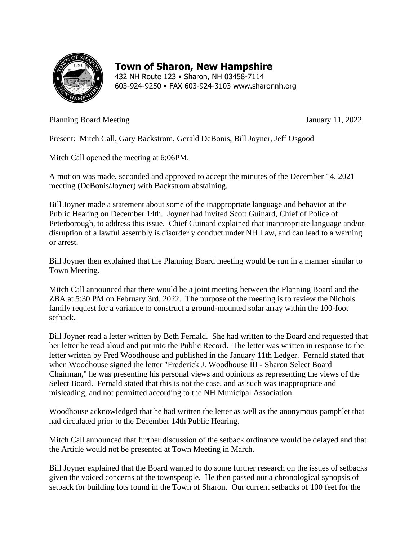

## **Town of Sharon, New Hampshire**

432 NH Route 123 • Sharon, NH 03458-7114 603-924-9250 • FAX 603-924-3103 www.sharonnh.org

Planning Board Meeting 30 and  $\frac{11}{2022}$ 

Present: Mitch Call, Gary Backstrom, Gerald DeBonis, Bill Joyner, Jeff Osgood

Mitch Call opened the meeting at 6:06PM.

A motion was made, seconded and approved to accept the minutes of the December 14, 2021 meeting (DeBonis/Joyner) with Backstrom abstaining.

Bill Joyner made a statement about some of the inappropriate language and behavior at the Public Hearing on December 14th. Joyner had invited Scott Guinard, Chief of Police of Peterborough, to address this issue. Chief Guinard explained that inappropriate language and/or disruption of a lawful assembly is disorderly conduct under NH Law, and can lead to a warning or arrest.

Bill Joyner then explained that the Planning Board meeting would be run in a manner similar to Town Meeting.

Mitch Call announced that there would be a joint meeting between the Planning Board and the ZBA at 5:30 PM on February 3rd, 2022. The purpose of the meeting is to review the Nichols family request for a variance to construct a ground-mounted solar array within the 100-foot setback.

Bill Joyner read a letter written by Beth Fernald. She had written to the Board and requested that her letter be read aloud and put into the Public Record. The letter was written in response to the letter written by Fred Woodhouse and published in the January 11th Ledger. Fernald stated that when Woodhouse signed the letter "Frederick J. Woodhouse III - Sharon Select Board Chairman," he was presenting his personal views and opinions as representing the views of the Select Board. Fernald stated that this is not the case, and as such was inappropriate and misleading, and not permitted according to the NH Municipal Association.

Woodhouse acknowledged that he had written the letter as well as the anonymous pamphlet that had circulated prior to the December 14th Public Hearing.

Mitch Call announced that further discussion of the setback ordinance would be delayed and that the Article would not be presented at Town Meeting in March.

Bill Joyner explained that the Board wanted to do some further research on the issues of setbacks given the voiced concerns of the townspeople. He then passed out a chronological synopsis of setback for building lots found in the Town of Sharon. Our current setbacks of 100 feet for the